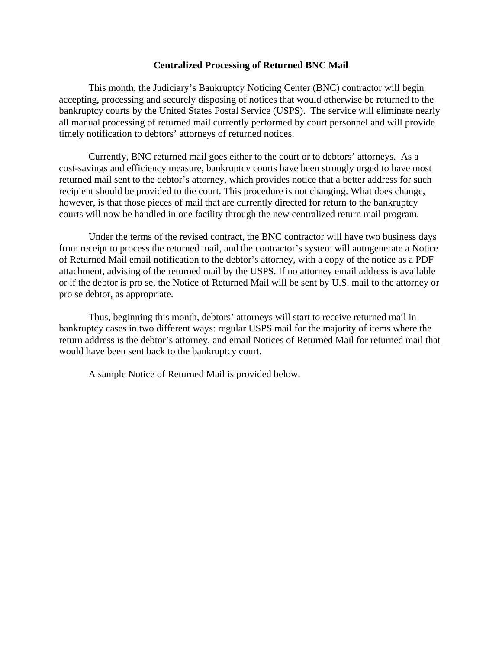## **Centralized Processing of Returned BNC Mail**

This month, the Judiciary's Bankruptcy Noticing Center (BNC) contractor will begin accepting, processing and securely disposing of notices that would otherwise be returned to the bankruptcy courts by the United States Postal Service (USPS). The service will eliminate nearly all manual processing of returned mail currently performed by court personnel and will provide timely notification to debtors' attorneys of returned notices.

Currently, BNC returned mail goes either to the court or to debtors' attorneys. As a cost-savings and efficiency measure, bankruptcy courts have been strongly urged to have most returned mail sent to the debtor's attorney, which provides notice that a better address for such recipient should be provided to the court. This procedure is not changing. What does change, however, is that those pieces of mail that are currently directed for return to the bankruptcy courts will now be handled in one facility through the new centralized return mail program.

Under the terms of the revised contract, the BNC contractor will have two business days from receipt to process the returned mail, and the contractor's system will autogenerate a Notice of Returned Mail email notification to the debtor's attorney, with a copy of the notice as a PDF attachment, advising of the returned mail by the USPS. If no attorney email address is available or if the debtor is pro se, the Notice of Returned Mail will be sent by U.S. mail to the attorney or pro se debtor, as appropriate.

Thus, beginning this month, debtors' attorneys will start to receive returned mail in bankruptcy cases in two different ways: regular USPS mail for the majority of items where the return address is the debtor's attorney, and email Notices of Returned Mail for returned mail that would have been sent back to the bankruptcy court.

A sample Notice of Returned Mail is provided below.